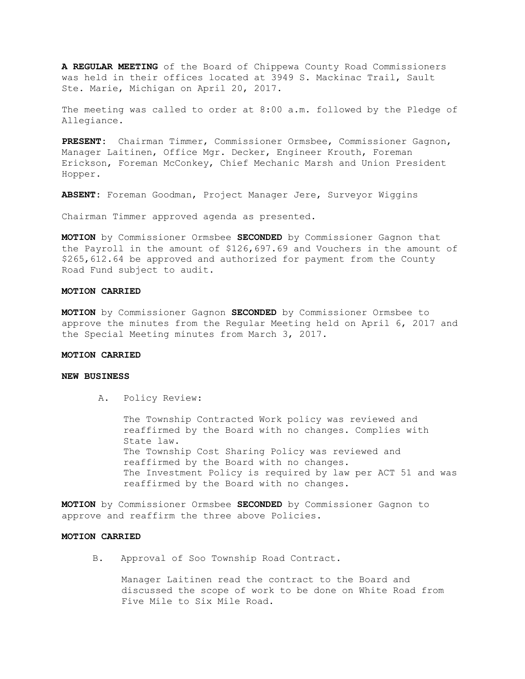**A REGULAR MEETING** of the Board of Chippewa County Road Commissioners was held in their offices located at 3949 S. Mackinac Trail, Sault Ste. Marie, Michigan on April 20, 2017.

The meeting was called to order at 8:00 a.m. followed by the Pledge of Allegiance.

**PRESENT:** Chairman Timmer, Commissioner Ormsbee, Commissioner Gagnon, Manager Laitinen, Office Mgr. Decker, Engineer Krouth, Foreman Erickson, Foreman McConkey, Chief Mechanic Marsh and Union President Hopper.

**ABSENT:** Foreman Goodman, Project Manager Jere, Surveyor Wiggins

Chairman Timmer approved agenda as presented.

**MOTION** by Commissioner Ormsbee **SECONDED** by Commissioner Gagnon that the Payroll in the amount of \$126,697.69 and Vouchers in the amount of \$265,612.64 be approved and authorized for payment from the County Road Fund subject to audit.

#### **MOTION CARRIED**

**MOTION** by Commissioner Gagnon **SECONDED** by Commissioner Ormsbee to approve the minutes from the Regular Meeting held on April 6, 2017 and the Special Meeting minutes from March 3, 2017.

#### **MOTION CARRIED**

#### **NEW BUSINESS**

A. Policy Review:

The Township Contracted Work policy was reviewed and reaffirmed by the Board with no changes. Complies with State law. The Township Cost Sharing Policy was reviewed and reaffirmed by the Board with no changes. The Investment Policy is required by law per ACT 51 and was reaffirmed by the Board with no changes.

**MOTION** by Commissioner Ormsbee **SECONDED** by Commissioner Gagnon to approve and reaffirm the three above Policies.

### **MOTION CARRIED**

B. Approval of Soo Township Road Contract.

Manager Laitinen read the contract to the Board and discussed the scope of work to be done on White Road from Five Mile to Six Mile Road.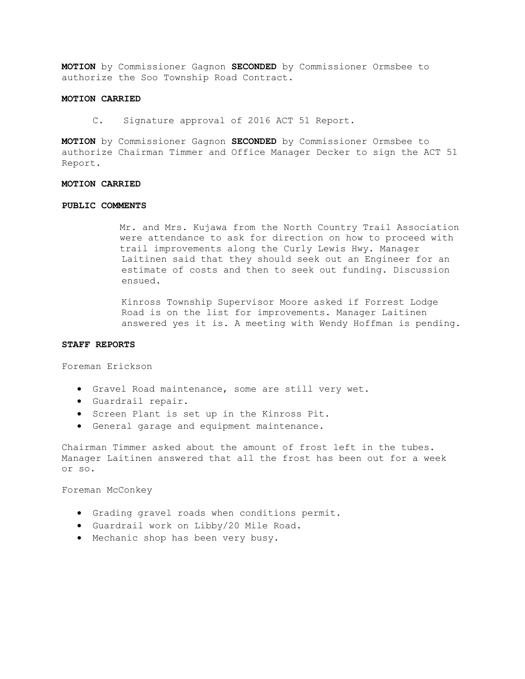**MOTION** by Commissioner Gagnon **SECONDED** by Commissioner Ormsbee to authorize the Soo Township Road Contract.

# **MOTION CARRIED**

C. Signature approval of 2016 ACT 51 Report.

**MOTION** by Commissioner Gagnon **SECONDED** by Commissioner Ormsbee to authorize Chairman Timmer and Office Manager Decker to sign the ACT 51 Report.

## **MOTION CARRIED**

#### **PUBLIC COMMENTS**

Mr. and Mrs. Kujawa from the North Country Trail Association were attendance to ask for direction on how to proceed with trail improvements along the Curly Lewis Hwy. Manager Laitinen said that they should seek out an Engineer for an estimate of costs and then to seek out funding. Discussion ensued.

Kinross Township Supervisor Moore asked if Forrest Lodge Road is on the list for improvements. Manager Laitinen answered yes it is. A meeting with Wendy Hoffman is pending.

# **STAFF REPORTS**

Foreman Erickson

- Gravel Road maintenance, some are still very wet.
- Guardrail repair.
- Screen Plant is set up in the Kinross Pit.
- General garage and equipment maintenance.

Chairman Timmer asked about the amount of frost left in the tubes. Manager Laitinen answered that all the frost has been out for a week or so.

Foreman McConkey

- Grading gravel roads when conditions permit.
- Guardrail work on Libby/20 Mile Road.
- Mechanic shop has been very busy.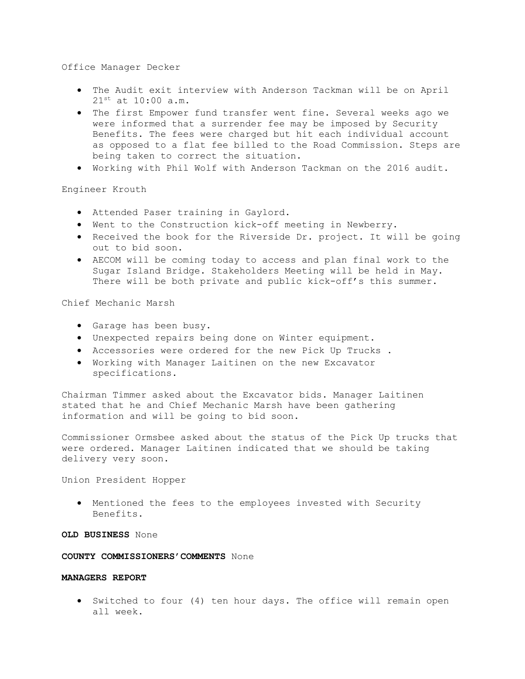# Office Manager Decker

- The Audit exit interview with Anderson Tackman will be on April  $21^{st}$  at  $10:00$  a.m.
- The first Empower fund transfer went fine. Several weeks ago we were informed that a surrender fee may be imposed by Security Benefits. The fees were charged but hit each individual account as opposed to a flat fee billed to the Road Commission. Steps are being taken to correct the situation.
- Working with Phil Wolf with Anderson Tackman on the 2016 audit.

# Engineer Krouth

- Attended Paser training in Gaylord.
- Went to the Construction kick-off meeting in Newberry.
- Received the book for the Riverside Dr. project. It will be going out to bid soon.
- AECOM will be coming today to access and plan final work to the Sugar Island Bridge. Stakeholders Meeting will be held in May. There will be both private and public kick-off's this summer.

Chief Mechanic Marsh

- Garage has been busy.
- Unexpected repairs being done on Winter equipment.
- Accessories were ordered for the new Pick Up Trucks .
- Working with Manager Laitinen on the new Excavator specifications.

Chairman Timmer asked about the Excavator bids. Manager Laitinen stated that he and Chief Mechanic Marsh have been gathering information and will be going to bid soon.

Commissioner Ormsbee asked about the status of the Pick Up trucks that were ordered. Manager Laitinen indicated that we should be taking delivery very soon.

Union President Hopper

• Mentioned the fees to the employees invested with Security Benefits.

# **OLD BUSINESS** None

**COUNTY COMMISSIONERS'COMMENTS** None

# **MANAGERS REPORT**

• Switched to four (4) ten hour days. The office will remain open all week.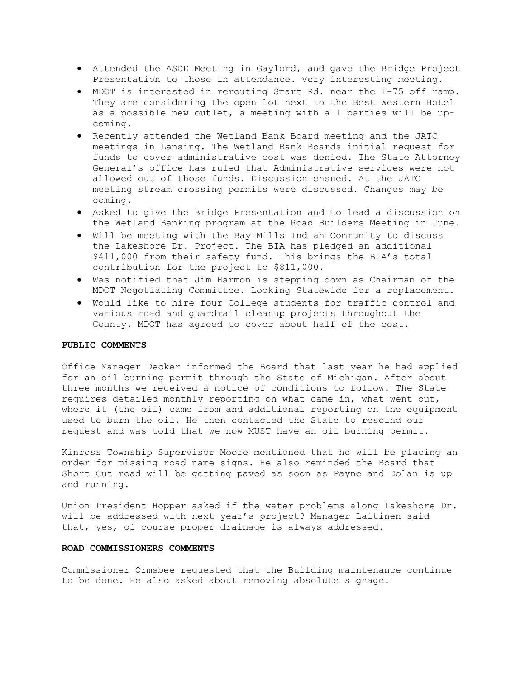- Attended the ASCE Meeting in Gaylord, and gave the Bridge Project Presentation to those in attendance. Very interesting meeting.
- MDOT is interested in rerouting Smart Rd. near the I-75 off ramp. They are considering the open lot next to the Best Western Hotel as a possible new outlet, a meeting with all parties will be upcoming.
- Recently attended the Wetland Bank Board meeting and the JATC meetings in Lansing. The Wetland Bank Boards initial request for funds to cover administrative cost was denied. The State Attorney General's office has ruled that Administrative services were not allowed out of those funds. Discussion ensued. At the JATC meeting stream crossing permits were discussed. Changes may be coming.
- Asked to give the Bridge Presentation and to lead a discussion on the Wetland Banking program at the Road Builders Meeting in June.
- Will be meeting with the Bay Mills Indian Community to discuss the Lakeshore Dr. Project. The BIA has pledged an additional \$411,000 from their safety fund. This brings the BIA's total contribution for the project to \$811,000.
- Was notified that Jim Harmon is stepping down as Chairman of the MDOT Negotiating Committee. Looking Statewide for a replacement.
- Would like to hire four College students for traffic control and various road and guardrail cleanup projects throughout the County. MDOT has agreed to cover about half of the cost.

### **PUBLIC COMMENTS**

Office Manager Decker informed the Board that last year he had applied for an oil burning permit through the State of Michigan. After about three months we received a notice of conditions to follow. The State requires detailed monthly reporting on what came in, what went out, where it (the oil) came from and additional reporting on the equipment used to burn the oil. He then contacted the State to rescind our request and was told that we now MUST have an oil burning permit.

Kinross Township Supervisor Moore mentioned that he will be placing an order for missing road name signs. He also reminded the Board that Short Cut road will be getting paved as soon as Payne and Dolan is up and running.

Union President Hopper asked if the water problems along Lakeshore Dr. will be addressed with next year's project? Manager Laitinen said that, yes, of course proper drainage is always addressed.

## **ROAD COMMISSIONERS COMMENTS**

Commissioner Ormsbee requested that the Building maintenance continue to be done. He also asked about removing absolute signage.